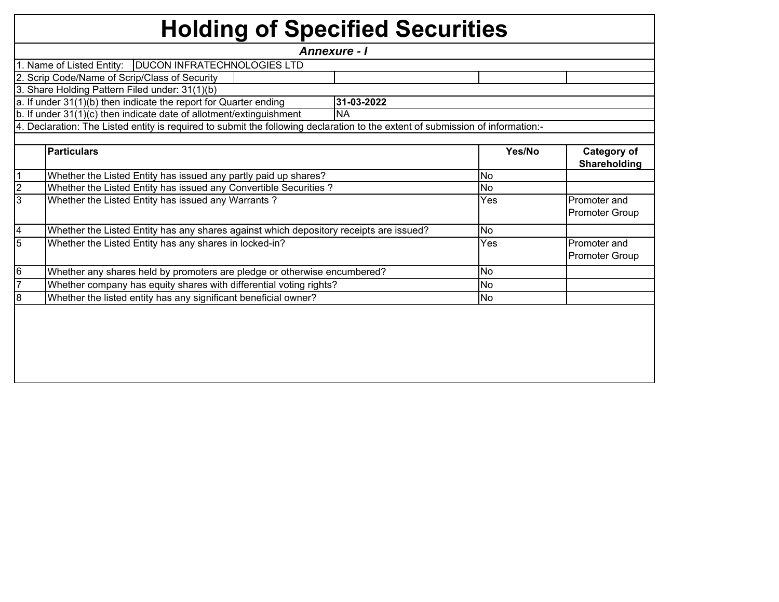## **Holding of Specified Securities**

|                |                                                                                                                                | <b>Annexure - I</b> |           |                                       |
|----------------|--------------------------------------------------------------------------------------------------------------------------------|---------------------|-----------|---------------------------------------|
|                | 1. Name of Listed Entity:   DUCON INFRATECHNOLOGIES LTD                                                                        |                     |           |                                       |
|                | 2. Scrip Code/Name of Scrip/Class of Security                                                                                  |                     |           |                                       |
|                | 3. Share Holding Pattern Filed under: 31(1)(b)                                                                                 |                     |           |                                       |
|                | a. If under 31(1)(b) then indicate the report for Quarter ending                                                               | 31-03-2022          |           |                                       |
|                | b. If under 31(1)(c) then indicate date of allotment/extinguishment                                                            | <b>NA</b>           |           |                                       |
|                | 4. Declaration: The Listed entity is required to submit the following declaration to the extent of submission of information:- |                     |           |                                       |
|                |                                                                                                                                |                     |           |                                       |
|                | <b>Particulars</b>                                                                                                             |                     | Yes/No    | <b>Category of</b><br>Shareholding    |
|                | Whether the Listed Entity has issued any partly paid up shares?                                                                |                     | <b>No</b> |                                       |
| $\overline{2}$ | Whether the Listed Entity has issued any Convertible Securities?                                                               |                     | <b>No</b> |                                       |
| 3              | Whether the Listed Entity has issued any Warrants?                                                                             |                     | Yes       | Promoter and<br><b>Promoter Group</b> |
| $\overline{4}$ | Whether the Listed Entity has any shares against which depository receipts are issued?                                         |                     | No        |                                       |
| $\overline{5}$ | Whether the Listed Entity has any shares in locked-in?                                                                         |                     | Yes       | Promoter and<br>Promoter Group        |
| 6              | Whether any shares held by promoters are pledge or otherwise encumbered?                                                       |                     | <b>No</b> |                                       |
|                | Whether company has equity shares with differential voting rights?                                                             |                     | <b>No</b> |                                       |
| 8              | Whether the listed entity has any significant beneficial owner?                                                                |                     | <b>No</b> |                                       |
|                |                                                                                                                                |                     |           |                                       |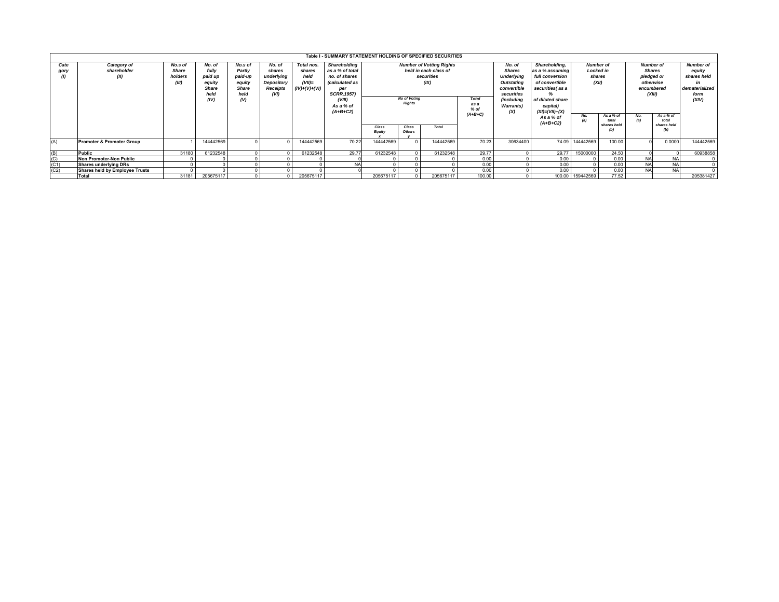|                                 |                                       |                                             |                                                                      |                                                                |                                                                  |                                                              | Table I - SUMMARY STATEMENT HOLDING OF SPECIFIED SECURITIES                                                                                 |                 |                                                                                                                                                                       |              |        |                                                                                                                                          |                                                                                                                                                  |                  |                                                             |                                       |                                                          |                                                                                    |
|---------------------------------|---------------------------------------|---------------------------------------------|----------------------------------------------------------------------|----------------------------------------------------------------|------------------------------------------------------------------|--------------------------------------------------------------|---------------------------------------------------------------------------------------------------------------------------------------------|-----------------|-----------------------------------------------------------------------------------------------------------------------------------------------------------------------|--------------|--------|------------------------------------------------------------------------------------------------------------------------------------------|--------------------------------------------------------------------------------------------------------------------------------------------------|------------------|-------------------------------------------------------------|---------------------------------------|----------------------------------------------------------|------------------------------------------------------------------------------------|
| Cate<br>gory                    | Category of<br>shareholder<br>(II)    | No.s of<br><b>Share</b><br>holders<br>(III) | No. of<br>fully<br>paid up<br>equity<br><b>Share</b><br>held<br>(IV) | No.s of<br>Partly<br>paid-up<br>equity<br>Share<br>held<br>(V) | No. of<br>shares<br>underlying<br>Depository<br>Receipts<br>(VI) | Total nos.<br>shares<br>held<br>$(VII)$ =<br>$(IV)+(V)+(VI)$ | Shareholding<br>as a % of total<br>no. of shares<br><i>(calculated as</i><br>per<br><b>SCRR, 1957)</b><br>(VIII)<br>As a % of<br>$(A+B+C2)$ |                 | <b>Number of Votting Rights</b><br>held in each class of<br>securities<br>(IX)<br><b>No of Voting</b><br><b>Total</b><br><b>Rights</b><br>as a<br>$%$ of<br>$(A+B+C)$ |              |        | No. of<br><b>Shares</b><br><b>Underlying</b><br><b>Outstating</b><br>convertible<br>securities<br>(including<br><b>Warrants</b> )<br>(X) | Shareholding,<br>as a % assuming<br>full conversion<br>of convertible<br>securities(as a<br>of diluted share<br>capital)<br>$(XI) = (VII) + (X)$ | (XII)            | <b>Number of</b><br><b>Locked in</b><br>shares<br>As a % of | <b>Shares</b><br>pledged or<br>(XIII) | <b>Number of</b><br>otherwise<br>encumbered<br>As a % of | <b>Number of</b><br>equity<br>shares held<br>in<br>dematerialized<br>form<br>(XIV) |
|                                 |                                       |                                             |                                                                      |                                                                |                                                                  |                                                              |                                                                                                                                             | Class<br>Equity | Class<br>Others                                                                                                                                                       | <b>Total</b> |        |                                                                                                                                          | As a % of<br>$(A+B+C2)$                                                                                                                          | No.              | total<br>shares held                                        | No.<br>(a)                            | total<br>shares held<br>(b)                              |                                                                                    |
| (A)                             | <b>Promoter &amp; Promoter Group</b>  |                                             | 144442569                                                            |                                                                |                                                                  | 144442569                                                    | 70.22                                                                                                                                       | 144442569       |                                                                                                                                                                       | 144442569    | 70.23  | 30634400                                                                                                                                 |                                                                                                                                                  | 74.09 144442569  | 100.00                                                      |                                       | 0.0000                                                   | 144442569                                                                          |
|                                 | Public                                | 31180                                       | 61232548                                                             |                                                                |                                                                  | 61232548                                                     | 29.77                                                                                                                                       | 61232548        |                                                                                                                                                                       | 61232548     | 29.77  |                                                                                                                                          | 29.77                                                                                                                                            | 15000000         | 24.50                                                       |                                       |                                                          | 60938858                                                                           |
| $\frac{\text{(B)}}{\text{(C)}}$ | <b>Non Promoter-Non Public</b>        |                                             |                                                                      |                                                                |                                                                  |                                                              |                                                                                                                                             |                 |                                                                                                                                                                       |              | 0.00   |                                                                                                                                          | 0.00                                                                                                                                             |                  | 0.00                                                        | <b>NA</b>                             | <b>NA</b>                                                |                                                                                    |
| (C1)                            | Shares underlying DRs                 |                                             |                                                                      |                                                                |                                                                  |                                                              |                                                                                                                                             |                 |                                                                                                                                                                       |              | 0.00   |                                                                                                                                          | 0.00                                                                                                                                             |                  | 0.00                                                        |                                       | <b>NA</b>                                                | $\Omega$                                                                           |
| (C2)                            | <b>Shares held by Employee Trusts</b> |                                             |                                                                      |                                                                |                                                                  |                                                              |                                                                                                                                             |                 |                                                                                                                                                                       |              | 0.00   |                                                                                                                                          | 0.00                                                                                                                                             |                  | 0.00                                                        | <b>NA</b>                             | <b>NA</b>                                                | $\Omega$                                                                           |
|                                 | <b>Total</b>                          | 31181                                       | 205675117                                                            |                                                                |                                                                  | 205675117                                                    |                                                                                                                                             | 205675117       |                                                                                                                                                                       | 205675117    | 100.00 |                                                                                                                                          |                                                                                                                                                  | 100.00 159442569 | 77.52                                                       |                                       |                                                          | 205381427                                                                          |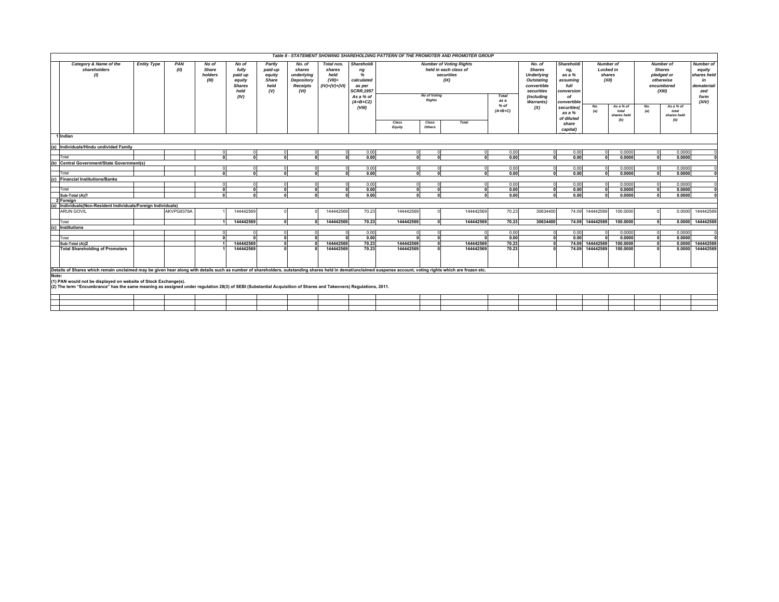|                                                                                                                                                                                                                                                                                                                                                                                                                                                               |                    |             |                                    |                                                                      |                                                            |                                                                         |                                                              |                                                                                               |                 |                                                                                                                                 | Table II - STATEMENT SHOWING SHAREHOLDING PATTERN OF THE PROMOTER AND PROMOTER GROUP |              |                                                                                                                           |                                                                                           |            |                                                                                                                                          |            |                                          |                                                                                       |
|---------------------------------------------------------------------------------------------------------------------------------------------------------------------------------------------------------------------------------------------------------------------------------------------------------------------------------------------------------------------------------------------------------------------------------------------------------------|--------------------|-------------|------------------------------------|----------------------------------------------------------------------|------------------------------------------------------------|-------------------------------------------------------------------------|--------------------------------------------------------------|-----------------------------------------------------------------------------------------------|-----------------|---------------------------------------------------------------------------------------------------------------------------------|--------------------------------------------------------------------------------------|--------------|---------------------------------------------------------------------------------------------------------------------------|-------------------------------------------------------------------------------------------|------------|------------------------------------------------------------------------------------------------------------------------------------------|------------|------------------------------------------|---------------------------------------------------------------------------------------|
| Category & Name of the<br>shareholders<br>(1)                                                                                                                                                                                                                                                                                                                                                                                                                 | <b>Entity Type</b> | PAN<br>(II) | No of<br>Share<br>holders<br>(III) | No of<br>fully<br>paid up<br>equity<br><b>Shares</b><br>held<br>(IV) | Partly<br>paid-up<br>equity<br><b>Share</b><br>held<br>(V) | No. of<br>shares<br>underlying<br>Depository<br><b>Receipts</b><br>(VI) | Total nos.<br>shares<br>held<br>$(VII)$ =<br>$(IV)+(V)+(VI)$ | Shareholdi<br>ng<br>%<br>calculated<br>as per<br><b>SCRR, 1957</b><br>As a % of<br>$(A+B+C2)$ |                 | <b>Number of Voting Rights</b><br>held in each class of<br>securities<br>(IX)<br>No of Voting<br>Total<br><b>Rights</b><br>as a |                                                                                      |              | No. of<br><b>Shares</b><br><b>Underlying</b><br>Outstating<br>convertible<br>securities<br>(including<br><b>Warrants)</b> | <b>Shareholdi</b><br>ng,<br>as a %<br>assuming<br>full<br>conversion<br>of<br>convertible |            | <b>Number of</b><br><b>Number of</b><br>Locked in<br><b>Shares</b><br>shares<br>pledged or<br>(XII)<br>otherwise<br>encumbered<br>(XIII) |            |                                          | <b>Number of</b><br>equity<br>shares held<br>in<br>dematerial<br>zed<br>form<br>(XIV) |
|                                                                                                                                                                                                                                                                                                                                                                                                                                                               |                    |             |                                    |                                                                      |                                                            |                                                                         |                                                              | (VIII)                                                                                        | Class<br>Equity | Class<br>Others                                                                                                                 | $%$ of<br>$(A+B+C)$<br><b>Total</b>                                                  |              | (X)                                                                                                                       | securities<br>as a %<br>of diluted<br>share<br>capital)                                   | No.<br>(a) | As a % of<br>total<br>shares held<br>(b)                                                                                                 | No.<br>(a) | As a % of<br>total<br>shares held<br>(b) |                                                                                       |
| 1 Indian                                                                                                                                                                                                                                                                                                                                                                                                                                                      |                    |             |                                    |                                                                      |                                                            |                                                                         |                                                              |                                                                                               |                 |                                                                                                                                 |                                                                                      |              |                                                                                                                           |                                                                                           |            |                                                                                                                                          |            |                                          |                                                                                       |
| (a) Individuals/Hindu undivided Family                                                                                                                                                                                                                                                                                                                                                                                                                        |                    |             |                                    |                                                                      |                                                            |                                                                         |                                                              |                                                                                               |                 |                                                                                                                                 |                                                                                      |              |                                                                                                                           |                                                                                           |            |                                                                                                                                          |            |                                          |                                                                                       |
|                                                                                                                                                                                                                                                                                                                                                                                                                                                               |                    |             |                                    |                                                                      | $\Omega$                                                   |                                                                         | $\Omega$                                                     | 0.00                                                                                          |                 |                                                                                                                                 | $\Omega$                                                                             | 0.00         | $\Omega$                                                                                                                  | 0.00                                                                                      |            | 0.0000                                                                                                                                   | $\Omega$   | 0.0000                                   |                                                                                       |
| Total                                                                                                                                                                                                                                                                                                                                                                                                                                                         |                    |             |                                    |                                                                      |                                                            |                                                                         | $\mathbf{r}$                                                 | 0.00                                                                                          |                 |                                                                                                                                 | $\sim$                                                                               | 0.00         | $\Omega$                                                                                                                  | 0.00                                                                                      | $\sqrt{2}$ | 0.0000                                                                                                                                   | $\Omega$   | 0.0000                                   |                                                                                       |
| (b) Central Government/State Government(s)                                                                                                                                                                                                                                                                                                                                                                                                                    |                    |             |                                    |                                                                      |                                                            |                                                                         |                                                              |                                                                                               |                 |                                                                                                                                 |                                                                                      |              |                                                                                                                           |                                                                                           |            |                                                                                                                                          |            |                                          |                                                                                       |
|                                                                                                                                                                                                                                                                                                                                                                                                                                                               |                    |             |                                    |                                                                      |                                                            |                                                                         |                                                              | 0.00                                                                                          |                 |                                                                                                                                 | $\sim$                                                                               | 0.00         |                                                                                                                           | 0.00                                                                                      |            | 0.0000                                                                                                                                   |            | 0.0000                                   |                                                                                       |
| Total                                                                                                                                                                                                                                                                                                                                                                                                                                                         |                    |             |                                    |                                                                      |                                                            |                                                                         |                                                              | 0.00                                                                                          |                 |                                                                                                                                 |                                                                                      | 0.00         |                                                                                                                           | 0.00                                                                                      |            | 0.0000                                                                                                                                   |            | 0.0000                                   |                                                                                       |
| (c)<br><b>Financial Institutions/Banks</b>                                                                                                                                                                                                                                                                                                                                                                                                                    |                    |             |                                    |                                                                      |                                                            |                                                                         |                                                              |                                                                                               |                 |                                                                                                                                 |                                                                                      |              |                                                                                                                           |                                                                                           |            |                                                                                                                                          |            |                                          |                                                                                       |
|                                                                                                                                                                                                                                                                                                                                                                                                                                                               |                    |             |                                    |                                                                      |                                                            |                                                                         |                                                              | 0.00                                                                                          |                 |                                                                                                                                 |                                                                                      | 0.00         |                                                                                                                           | 0.00                                                                                      |            | 0.0000                                                                                                                                   |            | 0.0000                                   |                                                                                       |
| Total<br>Sub-Total (A)(1                                                                                                                                                                                                                                                                                                                                                                                                                                      |                    |             |                                    |                                                                      | $\Omega$<br>$\sqrt{2}$                                     |                                                                         | $\Omega$                                                     | 0.00<br>0.00                                                                                  |                 |                                                                                                                                 | $\mathbf{r}$                                                                         | 0.00<br>0.00 |                                                                                                                           | 0.00<br>0.00                                                                              |            | 0.0000<br>0.0000                                                                                                                         |            | 0.0000<br>0.0000                         |                                                                                       |
| 2 Foreian                                                                                                                                                                                                                                                                                                                                                                                                                                                     |                    |             |                                    |                                                                      |                                                            |                                                                         |                                                              |                                                                                               |                 |                                                                                                                                 |                                                                                      |              |                                                                                                                           |                                                                                           |            |                                                                                                                                          |            |                                          |                                                                                       |
| (a) Individuals (Non-Resident Individuals/Foreign Individuals)                                                                                                                                                                                                                                                                                                                                                                                                |                    |             |                                    |                                                                      |                                                            |                                                                         |                                                              |                                                                                               |                 |                                                                                                                                 |                                                                                      |              |                                                                                                                           |                                                                                           |            |                                                                                                                                          |            |                                          |                                                                                       |
| <b>ARUN GOVIL</b>                                                                                                                                                                                                                                                                                                                                                                                                                                             |                    | AKVPG8378A  |                                    | 144442569                                                            |                                                            |                                                                         | 144442569                                                    | 70.23                                                                                         | 144442569       |                                                                                                                                 | 144442569                                                                            | 70.23        | 30634400                                                                                                                  | 74.09                                                                                     | 144442569  | 100.0000                                                                                                                                 |            | 0.0000                                   | 144442569                                                                             |
| Total                                                                                                                                                                                                                                                                                                                                                                                                                                                         |                    |             |                                    | 144442569                                                            | $\sim$                                                     |                                                                         | 144442569                                                    | 70.23                                                                                         | 144442569       |                                                                                                                                 | 144442569                                                                            | 70.23        | 30634400                                                                                                                  | 74.09                                                                                     | 144442569  | 100,0000                                                                                                                                 | $\Omega$   | 0.0000                                   | 144442569                                                                             |
| (c)<br><b>Institutions</b>                                                                                                                                                                                                                                                                                                                                                                                                                                    |                    |             |                                    |                                                                      |                                                            |                                                                         |                                                              |                                                                                               |                 |                                                                                                                                 |                                                                                      |              |                                                                                                                           |                                                                                           |            |                                                                                                                                          |            |                                          |                                                                                       |
|                                                                                                                                                                                                                                                                                                                                                                                                                                                               |                    |             |                                    |                                                                      | $\Omega$                                                   |                                                                         |                                                              | 0.00                                                                                          |                 |                                                                                                                                 | $\sim$                                                                               | 0.00         |                                                                                                                           | 0.00                                                                                      |            | 0.0000                                                                                                                                   | $\Omega$   | 0.0000                                   |                                                                                       |
| Total                                                                                                                                                                                                                                                                                                                                                                                                                                                         |                    |             |                                    |                                                                      |                                                            |                                                                         |                                                              | 0.00                                                                                          |                 |                                                                                                                                 |                                                                                      | 0.00         |                                                                                                                           | 0.00                                                                                      |            | 0.0000                                                                                                                                   |            | 0.0000                                   |                                                                                       |
| Sub-Total (A)(2                                                                                                                                                                                                                                                                                                                                                                                                                                               |                    |             |                                    | 144442569                                                            |                                                            |                                                                         | 144442569                                                    | 70.23                                                                                         | 144442569       |                                                                                                                                 | 144442569                                                                            | 70.23        |                                                                                                                           | 74.09                                                                                     | 144442569  | 100.0000                                                                                                                                 |            | 0.0000                                   | 144442569                                                                             |
| <b>Total Shareholding of Promoters</b>                                                                                                                                                                                                                                                                                                                                                                                                                        |                    |             |                                    | 144442569                                                            |                                                            |                                                                         | 144442569                                                    | 70.23                                                                                         | 144442569       |                                                                                                                                 | 144442569                                                                            | 70.23        |                                                                                                                           | 74.09                                                                                     | 144442569  | 100.0000                                                                                                                                 |            | 0.0000                                   | 144442569                                                                             |
| Details of Shares which remain unclaimed may be given hear along with details such as number of shareholders, outstanding shares held in demat/unclaimed suspense account, voting rights which are frozen etc.<br>Note:<br>(1) PAN would not be displayed on website of Stock Exchange(s).<br>(2) The term "Encumbrance" has the same meaning as assigned under regulation 28(3) of SEBI (Substantial Acquisition of Shares and Takeovers) Regulations, 2011. |                    |             |                                    |                                                                      |                                                            |                                                                         |                                                              |                                                                                               |                 |                                                                                                                                 |                                                                                      |              |                                                                                                                           |                                                                                           |            |                                                                                                                                          |            |                                          |                                                                                       |
|                                                                                                                                                                                                                                                                                                                                                                                                                                                               |                    |             |                                    |                                                                      |                                                            |                                                                         |                                                              |                                                                                               |                 |                                                                                                                                 |                                                                                      |              |                                                                                                                           |                                                                                           |            |                                                                                                                                          |            |                                          |                                                                                       |
|                                                                                                                                                                                                                                                                                                                                                                                                                                                               |                    |             |                                    |                                                                      |                                                            |                                                                         |                                                              |                                                                                               |                 |                                                                                                                                 |                                                                                      |              |                                                                                                                           |                                                                                           |            |                                                                                                                                          |            |                                          |                                                                                       |
|                                                                                                                                                                                                                                                                                                                                                                                                                                                               |                    |             |                                    |                                                                      |                                                            |                                                                         |                                                              |                                                                                               |                 |                                                                                                                                 |                                                                                      |              |                                                                                                                           |                                                                                           |            |                                                                                                                                          |            |                                          |                                                                                       |
|                                                                                                                                                                                                                                                                                                                                                                                                                                                               |                    |             |                                    |                                                                      |                                                            |                                                                         |                                                              |                                                                                               |                 |                                                                                                                                 |                                                                                      |              |                                                                                                                           |                                                                                           |            |                                                                                                                                          |            |                                          |                                                                                       |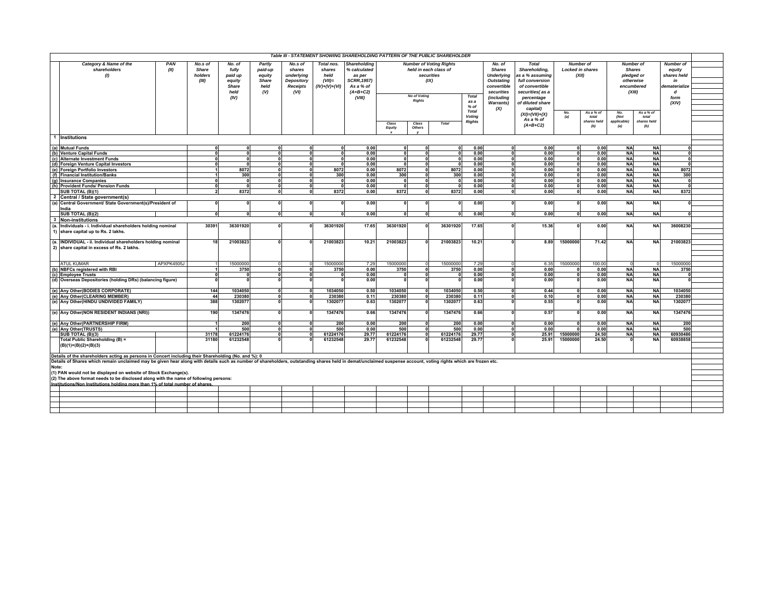|                                                                                                                                                                                                                | Table III - STATEMENT SHOWING SHAREHOLDING PATTERN OF THE PUBLIC SHAREHOLDER<br><b>Number of Voting Rights</b><br>Number of<br>Number of |              |            |         |                 |                 |                     |              |                       |              |                        |                   |                      |           |                         |                     |                      |                  |  |
|----------------------------------------------------------------------------------------------------------------------------------------------------------------------------------------------------------------|------------------------------------------------------------------------------------------------------------------------------------------|--------------|------------|---------|-----------------|-----------------|---------------------|--------------|-----------------------|--------------|------------------------|-------------------|----------------------|-----------|-------------------------|---------------------|----------------------|------------------|--|
| Category & Name of the                                                                                                                                                                                         | PAN                                                                                                                                      | No.s of      | No. of     | Partly  | No.s of         | Total nos.      | <b>Shareholding</b> |              |                       |              |                        | No. of            | <b>Total</b>         |           |                         |                     |                      | <b>Number of</b> |  |
| shareholders                                                                                                                                                                                                   | (II)                                                                                                                                     | <b>Share</b> | fully      | paid-up | shares          | shares          | 6 calculated        |              | held in each class of |              |                        | <b>Shares</b>     | Shareholding,        |           | <b>Locked in shares</b> |                     | <b>Shares</b>        | equity           |  |
| (1)                                                                                                                                                                                                            |                                                                                                                                          | holders      | paid up    | equity  | underlying      | held            | as per              |              | securities            |              |                        | <b>Underlying</b> | as a % assuming      |           | (XII)                   |                     | pledged or           | shares held      |  |
|                                                                                                                                                                                                                |                                                                                                                                          | (III)        | equity     | Share   | Depository      | $(VII)$ =       | <b>SCRR, 1957)</b>  |              | (IX)                  |              |                        | <b>Outstating</b> | full conversion      |           |                         |                     | otherwise            | in               |  |
|                                                                                                                                                                                                                |                                                                                                                                          |              | Share      | held    | <b>Receipts</b> | $(IV)+(V)+(VI)$ | As a % of           |              |                       |              |                        | convertible       | of convertible       |           |                         |                     | encumbered           | dematerialize    |  |
|                                                                                                                                                                                                                |                                                                                                                                          |              | held       | (V)     | (VI)            |                 | $(A+B+C2)$          |              |                       |              |                        | securities        | securities(as a      |           |                         |                     | (XIII)               | $\boldsymbol{d}$ |  |
|                                                                                                                                                                                                                |                                                                                                                                          |              | (IV)       |         |                 |                 | (VIII)              |              | <b>No of Voting</b>   |              | Total                  | (including        | percentage           |           |                         |                     |                      | form             |  |
|                                                                                                                                                                                                                |                                                                                                                                          |              |            |         |                 |                 |                     |              | <b>Rights</b>         |              | as a                   | <b>Warrants)</b>  | of diluted share     |           |                         |                     |                      | (XIV)            |  |
|                                                                                                                                                                                                                |                                                                                                                                          |              |            |         |                 |                 |                     |              |                       |              | $%$ of                 | (X)               | capital)             |           |                         |                     |                      |                  |  |
|                                                                                                                                                                                                                |                                                                                                                                          |              |            |         |                 |                 |                     |              |                       |              | <b>Total</b><br>Voting |                   | $(XI) = (VII)+(X)$   | No.       | Asa % o                 | No.                 | As a % of            |                  |  |
|                                                                                                                                                                                                                |                                                                                                                                          |              |            |         |                 |                 |                     |              |                       |              | <b>Rights</b>          |                   | As a % of            | (a)       | total<br>shares held    | (Not<br>applicable) | total<br>shares held |                  |  |
|                                                                                                                                                                                                                |                                                                                                                                          |              |            |         |                 |                 |                     | Class        | Class                 | <b>Total</b> |                        |                   | $(A+B+C2)$           |           | (b)                     | (a)                 | (b)                  |                  |  |
|                                                                                                                                                                                                                |                                                                                                                                          |              |            |         |                 |                 |                     | Equity       | Others                |              |                        |                   |                      |           |                         |                     |                      |                  |  |
| 1 Institutions                                                                                                                                                                                                 |                                                                                                                                          |              |            |         |                 |                 |                     |              |                       |              |                        |                   |                      |           |                         |                     |                      |                  |  |
|                                                                                                                                                                                                                |                                                                                                                                          |              |            |         |                 |                 |                     |              |                       |              |                        |                   |                      |           |                         |                     |                      |                  |  |
| (a) Mutual Funds<br>0.00<br>0.00<br>0.00<br>0.00<br><b>NA</b><br>$\Omega$<br>$\Omega$<br>$\Omega$<br>$\Omega$<br>n<br>$\Omega$<br>$\Omega$<br>$\mathbf{u}$                                                     |                                                                                                                                          |              |            |         |                 |                 |                     |              |                       |              |                        |                   |                      | <b>NA</b> |                         |                     |                      |                  |  |
| (b) Venture Capital Funds                                                                                                                                                                                      |                                                                                                                                          |              | $\Omega$   |         |                 |                 | 0.00                | $\Omega$     | ΩI                    |              | 0.00                   |                   | 0.00                 | $\Omega$  | 0.00                    | <b>NA</b>           | <b>NA</b>            |                  |  |
| (c) Alternate Investment Funds                                                                                                                                                                                 |                                                                                                                                          |              | $\sqrt{2}$ |         | $\sim$          | $\sim$          | 0.00                | $\mathbf{r}$ | n                     |              | 0.00                   |                   | 0.00                 |           | 0.00                    | <b>NA</b>           | <b>NA</b>            |                  |  |
| (d) Foreign Venture Capital Investors                                                                                                                                                                          |                                                                                                                                          |              |            |         |                 | $\mathbf{0}$    | 0.00                | $\sqrt{2}$   |                       | $\Omega$     | 0.00                   |                   | 0.00                 |           | 0.00                    | <b>NA</b>           | <b>NA</b>            |                  |  |
| (e) Foreign Portfolio Investors                                                                                                                                                                                |                                                                                                                                          |              | 8072       |         | $\Omega$        | 8072            | 0.00                | 8072         |                       | 8072         | 0.00                   |                   | 0.00                 |           | 0.00                    | <b>NA</b>           | <b>NA</b>            | 8072             |  |
| (f) Financial Institution/Banks                                                                                                                                                                                |                                                                                                                                          |              | 300        |         | $\Omega$        | 300             | 0.00                | 300          | U                     | 300          | 0.00                   | $\Omega$          | 0.00                 |           | 0.00                    | <b>NA</b>           | <b>NA</b>            | 300              |  |
| (g) Insurance Companies                                                                                                                                                                                        |                                                                                                                                          | $\Omega$     | $\Omega$   |         | $\Omega$        | $\Omega$        | 0.00                | $\mathbf{0}$ | ΩI                    | $\mathbf{r}$ | 0.00                   | $\mathbf{0}$      | 0.00                 | $\Omega$  | 0.00                    | <b>NA</b>           | <b>NA</b>            |                  |  |
| (h)<br><b>Provident Funds/ Pension Funds</b>                                                                                                                                                                   |                                                                                                                                          |              | $\sqrt{2}$ |         | ,               | э               | 0.00                | $\mathbf{a}$ |                       | $\mathbf{r}$ | 0.00                   | $\mathbf{a}$      | 0.00                 |           | 0.00                    | <b>NA</b>           | <b>NA</b>            |                  |  |
| <b>SUB TOTAL (B)(1)</b>                                                                                                                                                                                        |                                                                                                                                          |              | 8372       |         |                 | 8372            | 0.00                | 8372         |                       | 8372         | 0.00                   |                   | 0.00<br>$\mathbf{u}$ |           | 0.00                    | <b>NA</b>           | <b>NA</b>            | 8372             |  |
| $\overline{2}$<br>Central / State government(s)                                                                                                                                                                |                                                                                                                                          |              |            |         |                 |                 |                     |              |                       |              |                        |                   |                      |           |                         |                     |                      |                  |  |
| Central Government/ State Government(s)/President of<br>(a)                                                                                                                                                    |                                                                                                                                          |              |            |         |                 | $\Omega$        | 0.00                |              |                       |              | 0.00                   |                   | 0.00                 |           | 0.00                    | <b>NA</b>           | <b>NA</b>            |                  |  |
| India                                                                                                                                                                                                          |                                                                                                                                          |              |            |         |                 |                 |                     |              |                       |              |                        |                   |                      |           |                         |                     |                      |                  |  |
| SUB TOTAL (B)(2)                                                                                                                                                                                               |                                                                                                                                          |              | $\Omega$   |         | $\Omega$        | $\Omega$        | 0.00                | $\Omega$     | $\Omega$              | $\mathbf{a}$ | 0.00                   |                   | 0.00<br>$\Omega$     | $\Omega$  | 0.00                    | <b>NA</b>           | <b>NA</b>            |                  |  |
| 3<br><b>Non-institutions</b>                                                                                                                                                                                   |                                                                                                                                          |              |            |         |                 |                 |                     |              |                       |              |                        |                   |                      |           |                         |                     |                      |                  |  |
| Individuals - i. Individual shareholders holding nominal<br>(a.                                                                                                                                                |                                                                                                                                          | 30391        | 36301920   |         |                 | 36301920        | 17.65               | 36301920     |                       | 36301920     | 17.65                  |                   | 15.36                |           | 0.00                    | <b>NA</b>           | <b>NA</b>            | 36008230         |  |
| 1) share capital up to Rs. 2 lakhs.                                                                                                                                                                            |                                                                                                                                          |              |            |         |                 |                 |                     |              |                       |              |                        |                   |                      |           |                         |                     |                      |                  |  |
|                                                                                                                                                                                                                |                                                                                                                                          |              |            |         |                 |                 |                     |              |                       |              |                        |                   |                      |           |                         |                     |                      |                  |  |
| (a. INDIVIDUAL - ii. Individual shareholders holding nominal                                                                                                                                                   |                                                                                                                                          | 18           | 21003823   |         |                 | 21003823        | 10.21               | 21003823     |                       | 21003823     | $10.2^{\circ}$         |                   | 8.89                 | 15000000  | 71.42                   | <b>NA</b>           | <b>NA</b>            | 21003823         |  |
| 2) share capital in excess of Rs. 2 lakhs.                                                                                                                                                                     |                                                                                                                                          |              |            |         |                 |                 |                     |              |                       |              |                        |                   |                      |           |                         |                     |                      |                  |  |
|                                                                                                                                                                                                                |                                                                                                                                          |              |            |         |                 |                 |                     |              |                       |              |                        |                   |                      |           |                         |                     |                      |                  |  |
|                                                                                                                                                                                                                |                                                                                                                                          |              |            |         |                 |                 |                     |              |                       |              |                        |                   |                      |           |                         |                     |                      |                  |  |
| <b>ATUL KUMAR</b>                                                                                                                                                                                              | APXPK4505J                                                                                                                               |              | 1500000    |         |                 | 15000000        | 7.29                | 15000000     |                       | 15000000     | 7.29                   |                   | 6.35                 | 15000000  | 100.00                  |                     |                      | 15000000         |  |
| (b) NBFCs registered with RBI                                                                                                                                                                                  |                                                                                                                                          |              | 3750       |         | $\Omega$        | 3750            | 0.00                | 3750         |                       | 3750         | 0.00                   |                   | 0.00                 |           | 0.00                    | <b>NA</b>           | <b>NA</b>            | 3750             |  |
| (c) Employee Trusts                                                                                                                                                                                            |                                                                                                                                          |              |            |         | $\Omega$        |                 | 0.00                |              | U                     |              | 0.00                   |                   | 0.00                 |           | 0.00                    | <b>NA</b>           | <b>NA</b>            |                  |  |
| (d) Overseas Depositories (holding DRs) (balancing figure)                                                                                                                                                     |                                                                                                                                          |              |            |         |                 |                 | 0.00                |              |                       |              | 0.00                   |                   | 0.00                 |           | 0.00                    | <b>NA</b>           | <b>NA</b>            |                  |  |
|                                                                                                                                                                                                                |                                                                                                                                          |              |            |         |                 |                 |                     |              |                       |              |                        |                   |                      |           |                         |                     |                      |                  |  |
| (e) Any Other(BODIES CORPORATE)                                                                                                                                                                                |                                                                                                                                          | 144          | 1034050    |         |                 | 1034050         | 0.50                | 1034050      |                       | 1034050      | 0.50                   |                   | 0.44                 |           | 0.00                    | <b>NA</b>           | <b>NA</b>            | 1034050          |  |
| (e) Any Other (CLEARING MEMBER)                                                                                                                                                                                |                                                                                                                                          | 44           | 23038      |         |                 | 230380          | 0.11                | 230380       |                       | 230380       | 0.11                   |                   | 0.10                 |           | 0.00                    | <b>NA</b>           | <b>NA</b>            | 230380           |  |
| (e) Any Other(HINDU UNDIVIDED FAMILY)                                                                                                                                                                          |                                                                                                                                          | 388          | 130207     |         |                 | 130207          | 0.63                | 1302077      |                       | 1302077      | 0.63                   |                   | 0.55                 |           | 0.00                    | <b>NA</b>           | <b>NA</b>            | 1302077          |  |
|                                                                                                                                                                                                                |                                                                                                                                          |              |            |         |                 |                 |                     |              |                       |              |                        |                   |                      |           |                         |                     |                      |                  |  |
| (e) Any Other(NON RESIDENT INDIANS (NRI))                                                                                                                                                                      |                                                                                                                                          | 190          | 1347476    |         |                 | 1347476         | 0.66                | 1347476      |                       | 1347476      | 0.66                   |                   | 0.57                 |           | 0.00                    | <b>NA</b>           | <b>NA</b>            | 1347476          |  |
|                                                                                                                                                                                                                |                                                                                                                                          |              |            |         |                 |                 |                     |              |                       |              |                        |                   |                      |           |                         |                     |                      |                  |  |
| (e) Any Other(PARTNERSHIP FIRM)                                                                                                                                                                                |                                                                                                                                          |              | 200        |         |                 | 200             | 0.00                | 200          |                       | 200          | 0.00                   |                   | 0.00                 |           | 0.00                    | <b>NA</b>           | <b>NA</b>            | 200              |  |
| (e) Any Other(TRUSTS)                                                                                                                                                                                          |                                                                                                                                          |              | 500        |         |                 | 500             | 0.00                | 500          |                       | 500          | 0.00                   |                   | 0.00                 |           | 0.00                    | <b>NA</b>           | <b>NA</b>            | 500              |  |
| SUB TOTAL (B)(3)                                                                                                                                                                                               |                                                                                                                                          | 31178        | 61224176   |         |                 | 61224176        | 29.77               | 61224176     |                       | 61224176     | 29.77                  |                   | 25.91                | 1500000   | 24.50                   | <b>NA</b>           | <b>NA</b>            | 60930486         |  |
| Total Public Shareholding (B) =                                                                                                                                                                                |                                                                                                                                          | 31180        | 61232548   |         |                 | 61232548        | 29.77               | 61232548     |                       | 61232548     | 29.7                   |                   | 25.91                | 15000000  | 24.50                   |                     | <b>NA</b>            | 60938858         |  |
| $(B)(1)+(B)(2)+(B)(3)$                                                                                                                                                                                         |                                                                                                                                          |              |            |         |                 |                 |                     |              |                       |              |                        |                   |                      |           |                         |                     |                      |                  |  |
|                                                                                                                                                                                                                |                                                                                                                                          |              |            |         |                 |                 |                     |              |                       |              |                        |                   |                      |           |                         |                     |                      |                  |  |
| Details of the shareholders acting as persons in Concert including their Shareholding (No. and %): 0                                                                                                           |                                                                                                                                          |              |            |         |                 |                 |                     |              |                       |              |                        |                   |                      |           |                         |                     |                      |                  |  |
| Details of Shares which remain unclaimed may be given hear along with details such as number of shareholders, outstanding shares held in demat/unclaimed suspense account, voting rights which are frozen etc. |                                                                                                                                          |              |            |         |                 |                 |                     |              |                       |              |                        |                   |                      |           |                         |                     |                      |                  |  |
| Note:                                                                                                                                                                                                          |                                                                                                                                          |              |            |         |                 |                 |                     |              |                       |              |                        |                   |                      |           |                         |                     |                      |                  |  |
| (1) PAN would not be displayed on website of Stock Exchange(s).                                                                                                                                                |                                                                                                                                          |              |            |         |                 |                 |                     |              |                       |              |                        |                   |                      |           |                         |                     |                      |                  |  |
| (2) The above format needs to be disclosed along with the name of following persons:                                                                                                                           |                                                                                                                                          |              |            |         |                 |                 |                     |              |                       |              |                        |                   |                      |           |                         |                     |                      |                  |  |
| Institutions/Non Institutions holding more than 1% of total number of shares                                                                                                                                   |                                                                                                                                          |              |            |         |                 |                 |                     |              |                       |              |                        |                   |                      |           |                         |                     |                      |                  |  |
|                                                                                                                                                                                                                |                                                                                                                                          |              |            |         |                 |                 |                     |              |                       |              |                        |                   |                      |           |                         |                     |                      |                  |  |
|                                                                                                                                                                                                                |                                                                                                                                          |              |            |         |                 |                 |                     |              |                       |              |                        |                   |                      |           |                         |                     |                      |                  |  |
|                                                                                                                                                                                                                |                                                                                                                                          |              |            |         |                 |                 |                     |              |                       |              |                        |                   |                      |           |                         |                     |                      |                  |  |
|                                                                                                                                                                                                                |                                                                                                                                          |              |            |         |                 |                 |                     |              |                       |              |                        |                   |                      |           |                         |                     |                      |                  |  |
|                                                                                                                                                                                                                |                                                                                                                                          |              |            |         |                 |                 |                     |              |                       |              |                        |                   |                      |           |                         |                     |                      |                  |  |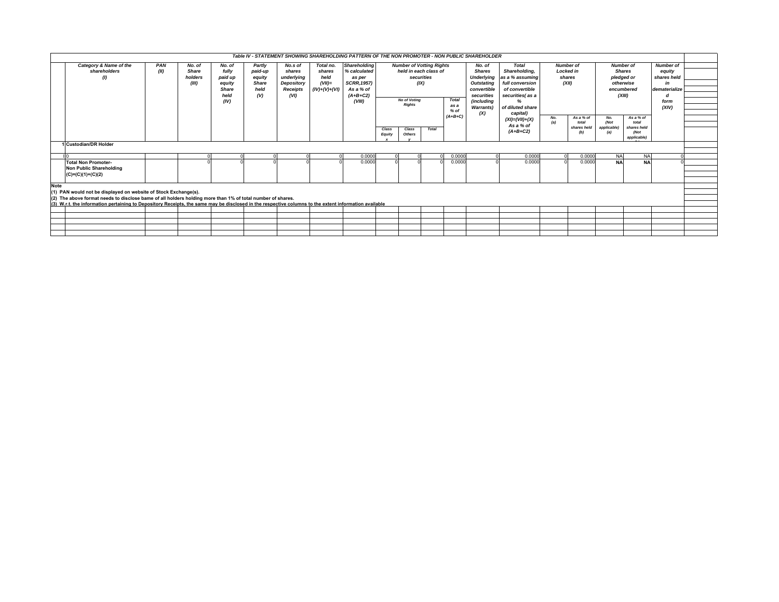|             |                                                                                                                                                       |      |                         |                  |                   |                      |                 | Table IV - STATEMENT SHOWING SHAREHOLDING PATTERN OF THE NON PROMOTER - NON PUBLIC SHAREHOLDER |                 |                                     |              |           |                                    |                                                                |       |                      |                         |                      |                       |  |
|-------------|-------------------------------------------------------------------------------------------------------------------------------------------------------|------|-------------------------|------------------|-------------------|----------------------|-----------------|------------------------------------------------------------------------------------------------|-----------------|-------------------------------------|--------------|-----------|------------------------------------|----------------------------------------------------------------|-------|----------------------|-------------------------|----------------------|-----------------------|--|
|             | Category & Name of the                                                                                                                                | PAN  | No. of                  | No. of           | Partly            | No.s of              | Total no.       | <b>Shareholding</b>                                                                            |                 | <b>Number of Votting Rights</b>     |              |           | No. of                             | <b>Total</b>                                                   |       | <b>Number of</b>     |                         | <b>Number of</b>     | <b>Number of</b>      |  |
|             | shareholders                                                                                                                                          | (II) | <b>Share</b><br>holders | fully<br>paid up | paid-up<br>equity | shares<br>underlying | shares<br>held  | % calculated<br>as per                                                                         |                 | held in each class of<br>securities |              |           | <b>Shares</b><br><b>Underlying</b> | Shareholding.<br><b>Locked in</b><br>as a % assuming<br>shares |       |                      |                         | <b>Shares</b>        | equity<br>shares held |  |
|             | $\left( I\right)$                                                                                                                                     |      | (III)                   | equity           | Share             | Depository           | $(VII)$ =       | <b>SCRR, 1957)</b>                                                                             |                 |                                     | (IX)         |           | <b>Outstating</b>                  | full conversion                                                |       |                      | pledged or<br>otherwise |                      |                       |  |
|             |                                                                                                                                                       |      |                         | <b>Share</b>     | held              | Receipts             | $(IV)+(V)+(VI)$ | As a % of                                                                                      |                 |                                     |              |           | convertible                        | of convertible                                                 | (XII) |                      | encumbered<br>(XIII)    |                      | dematerialize         |  |
|             |                                                                                                                                                       |      |                         | held             | (V)               | (VI)                 |                 | $(A+B+C2)$                                                                                     |                 |                                     |              |           | securities                         | securities(as a                                                |       |                      |                         |                      |                       |  |
|             |                                                                                                                                                       |      |                         | (IV)             |                   |                      |                 | (VIII)                                                                                         |                 | <b>No of Votina</b>                 |              | Total     | <i>(includina</i>                  |                                                                |       |                      |                         |                      | form                  |  |
|             |                                                                                                                                                       |      |                         |                  |                   |                      |                 |                                                                                                |                 | <b>Rights</b>                       |              | as a      | <b>Warrants)</b>                   | of diluted share                                               |       |                      |                         |                      | (XIV)                 |  |
|             |                                                                                                                                                       |      |                         |                  |                   |                      |                 |                                                                                                |                 |                                     |              | $%$ of    | (X)                                | capital)                                                       |       |                      |                         |                      |                       |  |
|             |                                                                                                                                                       |      |                         |                  |                   |                      |                 |                                                                                                |                 |                                     |              | $(A+B+C)$ |                                    | $(XI) = (VII) + (X)$                                           | No.   | As a % of            | No.                     | As a % of            |                       |  |
|             |                                                                                                                                                       |      |                         |                  |                   |                      |                 |                                                                                                |                 |                                     |              |           |                                    | As a % of                                                      | (a)   | total<br>shares held | (Not<br>applicable)     | total<br>shares held |                       |  |
|             |                                                                                                                                                       |      |                         |                  |                   |                      |                 |                                                                                                | Class<br>Equity | Class<br>Others                     | <b>Total</b> |           |                                    | $(A+B+C2)$                                                     |       | (b)                  | (a)                     | (Not                 |                       |  |
|             |                                                                                                                                                       |      |                         |                  |                   |                      |                 |                                                                                                |                 |                                     |              |           |                                    |                                                                |       |                      |                         | applicable)          |                       |  |
|             | 1 Custodian/DR Holder                                                                                                                                 |      |                         |                  |                   |                      |                 |                                                                                                |                 |                                     |              |           |                                    |                                                                |       |                      |                         |                      |                       |  |
|             |                                                                                                                                                       |      |                         |                  |                   |                      |                 |                                                                                                |                 |                                     |              |           |                                    |                                                                |       |                      |                         |                      |                       |  |
|             |                                                                                                                                                       |      |                         |                  |                   |                      |                 | 0.0000                                                                                         |                 |                                     |              | 0.0000    |                                    | 0.0000                                                         |       | 0.0000               | <b>NA</b>               | <b>NA</b>            |                       |  |
|             | <b>Total Non Promoter-</b>                                                                                                                            |      |                         |                  |                   |                      |                 | 0.0000                                                                                         |                 |                                     |              | 0.0000    |                                    | 0.000(                                                         |       | 0.0000               | <b>NA</b>               | <b>NA</b>            |                       |  |
|             | Non Public Shareholding                                                                                                                               |      |                         |                  |                   |                      |                 |                                                                                                |                 |                                     |              |           |                                    |                                                                |       |                      |                         |                      |                       |  |
|             | $(C)=(C)(1)+(C)(2)$                                                                                                                                   |      |                         |                  |                   |                      |                 |                                                                                                |                 |                                     |              |           |                                    |                                                                |       |                      |                         |                      |                       |  |
|             |                                                                                                                                                       |      |                         |                  |                   |                      |                 |                                                                                                |                 |                                     |              |           |                                    |                                                                |       |                      |                         |                      |                       |  |
| <b>Note</b> |                                                                                                                                                       |      |                         |                  |                   |                      |                 |                                                                                                |                 |                                     |              |           |                                    |                                                                |       |                      |                         |                      |                       |  |
|             | (1) PAN would not be displayed on website of Stock Exchange(s).                                                                                       |      |                         |                  |                   |                      |                 |                                                                                                |                 |                                     |              |           |                                    |                                                                |       |                      |                         |                      |                       |  |
|             | (2) The above format needs to disclose bame of all holders holding more than 1% of total number of shares.                                            |      |                         |                  |                   |                      |                 |                                                                                                |                 |                                     |              |           |                                    |                                                                |       |                      |                         |                      |                       |  |
|             | (3) W.r.t. the information pertaining to Depository Receipts, the same may be disclosed in the respective columns to the extent information available |      |                         |                  |                   |                      |                 |                                                                                                |                 |                                     |              |           |                                    |                                                                |       |                      |                         |                      |                       |  |
|             |                                                                                                                                                       |      |                         |                  |                   |                      |                 |                                                                                                |                 |                                     |              |           |                                    |                                                                |       |                      |                         |                      |                       |  |
|             |                                                                                                                                                       |      |                         |                  |                   |                      |                 |                                                                                                |                 |                                     |              |           |                                    |                                                                |       |                      |                         |                      |                       |  |
|             |                                                                                                                                                       |      |                         |                  |                   |                      |                 |                                                                                                |                 |                                     |              |           |                                    |                                                                |       |                      |                         |                      |                       |  |
|             |                                                                                                                                                       |      |                         |                  |                   |                      |                 |                                                                                                |                 |                                     |              |           |                                    |                                                                |       |                      |                         |                      |                       |  |